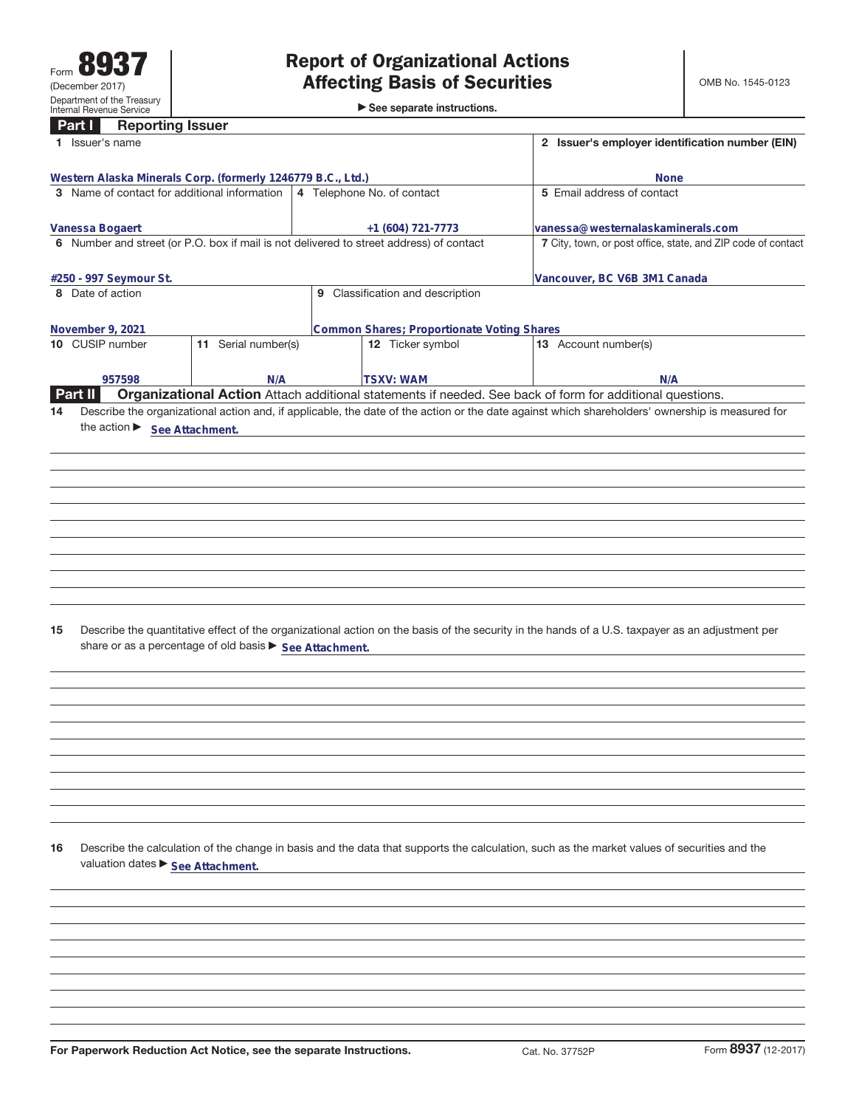$\blacktriangleright$  See separate instructions.

|    | <b>Reporting Issuer</b><br>Part I                           |                     |                                                                                         |                                                                                                                                                 |  |  |
|----|-------------------------------------------------------------|---------------------|-----------------------------------------------------------------------------------------|-------------------------------------------------------------------------------------------------------------------------------------------------|--|--|
|    | 1 Issuer's name                                             |                     |                                                                                         | 2 Issuer's employer identification number (EIN)                                                                                                 |  |  |
|    | Western Alaska Minerals Corp. (formerly 1246779 B.C., Ltd.) |                     | <b>None</b>                                                                             |                                                                                                                                                 |  |  |
|    | 3 Name of contact for additional information                |                     | 4 Telephone No. of contact                                                              | 5 Email address of contact                                                                                                                      |  |  |
|    |                                                             |                     |                                                                                         |                                                                                                                                                 |  |  |
|    | Vanessa Bogaert                                             |                     | +1 (604) 721-7773                                                                       | vanessa@westernalaskaminerals.com                                                                                                               |  |  |
|    |                                                             |                     | 6 Number and street (or P.O. box if mail is not delivered to street address) of contact | 7 City, town, or post office, state, and ZIP code of contact                                                                                    |  |  |
|    | #250 - 997 Seymour St.                                      |                     |                                                                                         | Vancouver, BC V6B 3M1 Canada                                                                                                                    |  |  |
|    | 8 Date of action                                            |                     | 9 Classification and description                                                        |                                                                                                                                                 |  |  |
|    |                                                             |                     |                                                                                         |                                                                                                                                                 |  |  |
|    | November 9, 2021                                            |                     | Common Shares; Proportionate Voting Shares                                              |                                                                                                                                                 |  |  |
|    | 10 CUSIP number                                             | 11 Serial number(s) | 12 Ticker symbol                                                                        | 13 Account number(s)                                                                                                                            |  |  |
|    | 957598                                                      | N/A                 | <b>TSXV: WAM</b>                                                                        | N/A                                                                                                                                             |  |  |
|    | Part II                                                     |                     |                                                                                         | Organizational Action Attach additional statements if needed. See back of form for additional questions.                                        |  |  |
| 14 |                                                             |                     |                                                                                         | Describe the organizational action and, if applicable, the date of the action or the date against which shareholders' ownership is measured for |  |  |
|    | the action > See Attachment.                                |                     |                                                                                         |                                                                                                                                                 |  |  |
|    |                                                             |                     |                                                                                         |                                                                                                                                                 |  |  |
|    |                                                             |                     |                                                                                         |                                                                                                                                                 |  |  |
|    |                                                             |                     |                                                                                         |                                                                                                                                                 |  |  |
|    |                                                             |                     |                                                                                         |                                                                                                                                                 |  |  |
|    |                                                             |                     |                                                                                         |                                                                                                                                                 |  |  |
|    |                                                             |                     |                                                                                         |                                                                                                                                                 |  |  |
|    |                                                             |                     |                                                                                         |                                                                                                                                                 |  |  |
|    |                                                             |                     |                                                                                         |                                                                                                                                                 |  |  |
|    |                                                             |                     |                                                                                         |                                                                                                                                                 |  |  |
|    |                                                             |                     |                                                                                         |                                                                                                                                                 |  |  |
| 15 | share or as a percentage of old basis ▶ See Attachment.     |                     |                                                                                         | Describe the quantitative effect of the organizational action on the basis of the security in the hands of a U.S. taxpayer as an adjustment per |  |  |
|    |                                                             |                     |                                                                                         |                                                                                                                                                 |  |  |
|    |                                                             |                     |                                                                                         |                                                                                                                                                 |  |  |
|    |                                                             |                     |                                                                                         |                                                                                                                                                 |  |  |
|    |                                                             |                     |                                                                                         |                                                                                                                                                 |  |  |
|    |                                                             |                     |                                                                                         |                                                                                                                                                 |  |  |
|    |                                                             |                     |                                                                                         |                                                                                                                                                 |  |  |
|    |                                                             |                     |                                                                                         |                                                                                                                                                 |  |  |
|    |                                                             |                     |                                                                                         |                                                                                                                                                 |  |  |
|    |                                                             |                     |                                                                                         |                                                                                                                                                 |  |  |
|    |                                                             |                     |                                                                                         |                                                                                                                                                 |  |  |
| 16 | valuation dates ▶ See Attachment.                           |                     |                                                                                         | Describe the calculation of the change in basis and the data that supports the calculation, such as the market values of securities and the     |  |  |
|    |                                                             |                     |                                                                                         |                                                                                                                                                 |  |  |
|    |                                                             |                     |                                                                                         |                                                                                                                                                 |  |  |
|    |                                                             |                     |                                                                                         |                                                                                                                                                 |  |  |
|    |                                                             |                     |                                                                                         |                                                                                                                                                 |  |  |
|    |                                                             |                     |                                                                                         |                                                                                                                                                 |  |  |
|    |                                                             |                     |                                                                                         |                                                                                                                                                 |  |  |
|    |                                                             |                     |                                                                                         |                                                                                                                                                 |  |  |
|    |                                                             |                     |                                                                                         |                                                                                                                                                 |  |  |
|    |                                                             |                     |                                                                                         |                                                                                                                                                 |  |  |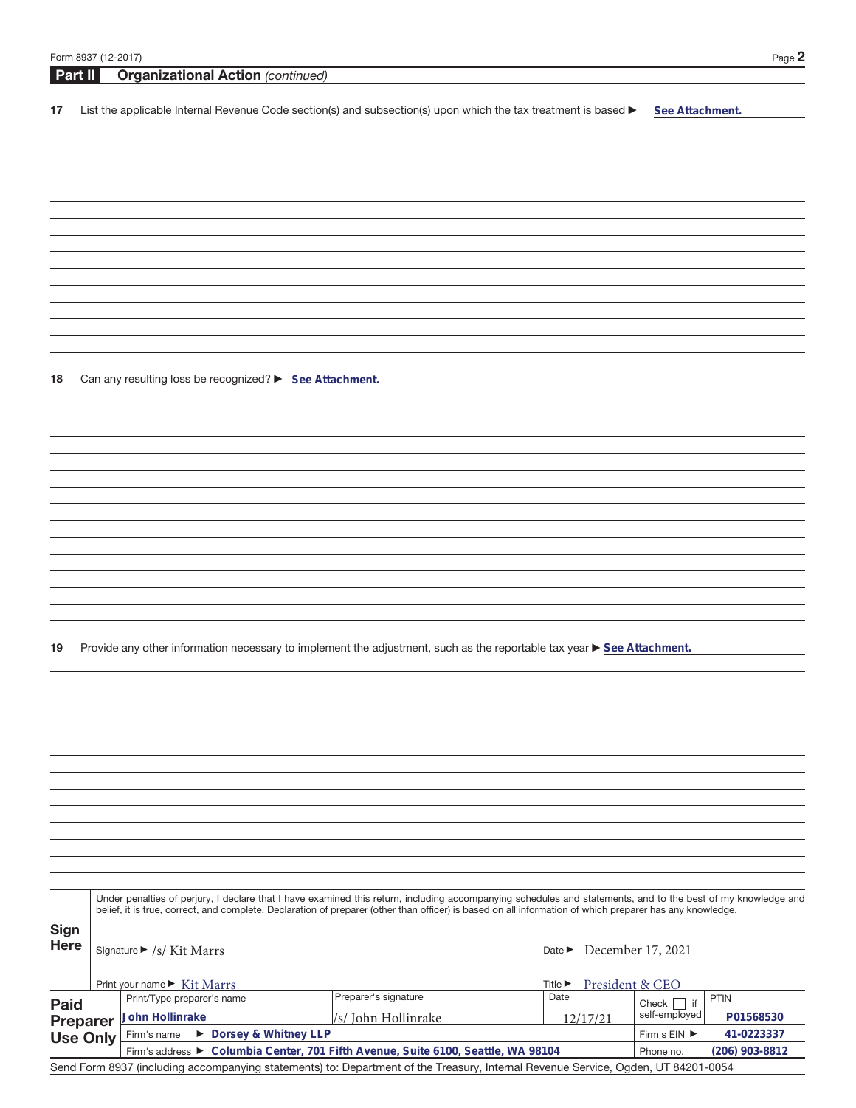|      |         | Form 8937 (12-2017)                                                                                                                                          | Page 2 |
|------|---------|--------------------------------------------------------------------------------------------------------------------------------------------------------------|--------|
|      | Part II | <b>Organizational Action (continued)</b>                                                                                                                     |        |
| 17   |         | List the applicable Internal Revenue Code section(s) and subsection(s) upon which the tax treatment is based $\blacktriangleright$<br>See Attachment.        |        |
|      |         |                                                                                                                                                              |        |
|      |         |                                                                                                                                                              |        |
|      |         |                                                                                                                                                              |        |
|      |         |                                                                                                                                                              |        |
|      |         |                                                                                                                                                              |        |
|      |         |                                                                                                                                                              |        |
|      |         |                                                                                                                                                              |        |
|      |         |                                                                                                                                                              |        |
|      |         |                                                                                                                                                              |        |
|      |         |                                                                                                                                                              |        |
|      |         |                                                                                                                                                              |        |
| 18   |         | Can any resulting loss be recognized? > See Attachment.                                                                                                      |        |
|      |         |                                                                                                                                                              |        |
|      |         |                                                                                                                                                              |        |
|      |         |                                                                                                                                                              |        |
|      |         |                                                                                                                                                              |        |
|      |         |                                                                                                                                                              |        |
|      |         |                                                                                                                                                              |        |
|      |         |                                                                                                                                                              |        |
|      |         |                                                                                                                                                              |        |
|      |         |                                                                                                                                                              |        |
|      |         |                                                                                                                                                              |        |
| 19   |         | Provide any other information necessary to implement the adjustment, such as the reportable tax year ▶ See Attachment.                                       |        |
|      |         |                                                                                                                                                              |        |
|      |         |                                                                                                                                                              |        |
|      |         |                                                                                                                                                              |        |
|      |         |                                                                                                                                                              |        |
|      |         |                                                                                                                                                              |        |
|      |         |                                                                                                                                                              |        |
|      |         |                                                                                                                                                              |        |
|      |         |                                                                                                                                                              |        |
|      |         |                                                                                                                                                              |        |
|      |         |                                                                                                                                                              |        |
|      |         | Under penalties of perjury, I declare that I have examined this return, including accompanying schedules and statements, and to the best of my knowledge and |        |
| Sign |         | belief, it is true, correct, and complete. Declaration of preparer (other than officer) is based on all information of which preparer has any knowledge.     |        |
| Here |         | Date December 17, 2021<br>Signature $\triangleright$ /s/ Kit Marrs                                                                                           |        |

|                                                                                                                                   | Print your name $\triangleright$ Kit Marrs<br>Title $\blacktriangleright$         |                      |                | President & CEO |           |  |  |  |
|-----------------------------------------------------------------------------------------------------------------------------------|-----------------------------------------------------------------------------------|----------------------|----------------|-----------------|-----------|--|--|--|
| <b>Paid</b>                                                                                                                       | Print/Type preparer's name                                                        | Preparer's signature | Date           | if<br>Check     | PTIN      |  |  |  |
| <b>Preparer</b>                                                                                                                   | John Hollinrake                                                                   | //s/ John Hollinrake | 12/17/21       | self-employed   | P01568530 |  |  |  |
| Use Only                                                                                                                          | ▶ Dorsey & Whitney LLP<br>Firm's name                                             | Firm's EIN ▶         | 41-0223337     |                 |           |  |  |  |
|                                                                                                                                   | Firm's address ► Columbia Center, 701 Fifth Avenue, Suite 6100, Seattle, WA 98104 | Phone no.            | (206) 903-8812 |                 |           |  |  |  |
| Send Form 8937 (including accompanying statements) to: Department of the Treasury, Internal Revenue Service, Ogden, UT 84201-0054 |                                                                                   |                      |                |                 |           |  |  |  |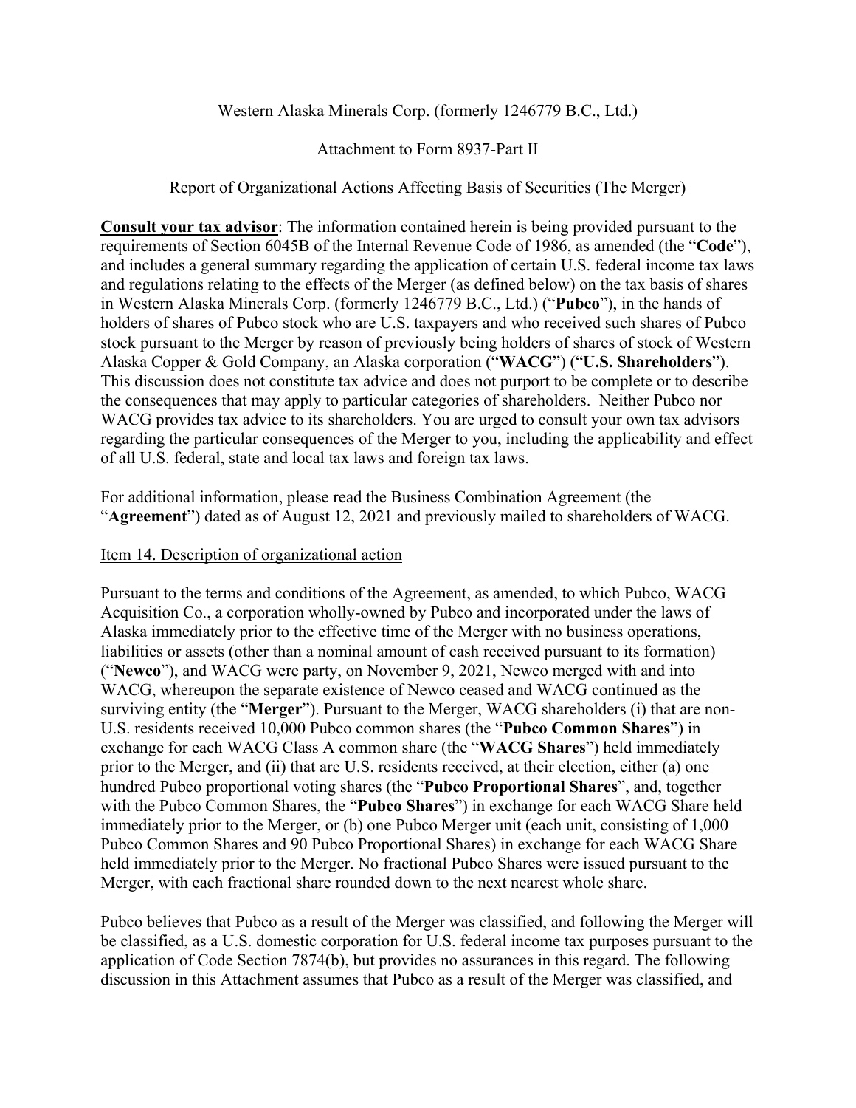### Western Alaska Minerals Corp. (formerly 1246779 B.C., Ltd.)

### Attachment to Form 8937-Part II

### Report of Organizational Actions Affecting Basis of Securities (The Merger)

**Consult your tax advisor**: The information contained herein is being provided pursuant to the requirements of Section 6045B of the Internal Revenue Code of 1986, as amended (the "**Code**"), and includes a general summary regarding the application of certain U.S. federal income tax laws and regulations relating to the effects of the Merger (as defined below) on the tax basis of shares in Western Alaska Minerals Corp. (formerly 1246779 B.C., Ltd.) ("**Pubco**"), in the hands of holders of shares of Pubco stock who are U.S. taxpayers and who received such shares of Pubco stock pursuant to the Merger by reason of previously being holders of shares of stock of Western Alaska Copper & Gold Company, an Alaska corporation ("**WACG**") ("**U.S. Shareholders**"). This discussion does not constitute tax advice and does not purport to be complete or to describe the consequences that may apply to particular categories of shareholders. Neither Pubco nor WACG provides tax advice to its shareholders. You are urged to consult your own tax advisors regarding the particular consequences of the Merger to you, including the applicability and effect of all U.S. federal, state and local tax laws and foreign tax laws.

For additional information, please read the Business Combination Agreement (the "**Agreement**") dated as of August 12, 2021 and previously mailed to shareholders of WACG.

#### Item 14. Description of organizational action

Pursuant to the terms and conditions of the Agreement, as amended, to which Pubco, WACG Acquisition Co., a corporation wholly-owned by Pubco and incorporated under the laws of Alaska immediately prior to the effective time of the Merger with no business operations, liabilities or assets (other than a nominal amount of cash received pursuant to its formation) ("**Newco**"), and WACG were party, on November 9, 2021, Newco merged with and into WACG, whereupon the separate existence of Newco ceased and WACG continued as the surviving entity (the "**Merger**"). Pursuant to the Merger, WACG shareholders (i) that are non-U.S. residents received 10,000 Pubco common shares (the "**Pubco Common Shares**") in exchange for each WACG Class A common share (the "**WACG Shares**") held immediately prior to the Merger, and (ii) that are U.S. residents received, at their election, either (a) one hundred Pubco proportional voting shares (the "**Pubco Proportional Shares**", and, together with the Pubco Common Shares, the "**Pubco Shares**") in exchange for each WACG Share held immediately prior to the Merger, or (b) one Pubco Merger unit (each unit, consisting of 1,000 Pubco Common Shares and 90 Pubco Proportional Shares) in exchange for each WACG Share held immediately prior to the Merger. No fractional Pubco Shares were issued pursuant to the Merger, with each fractional share rounded down to the next nearest whole share.

Pubco believes that Pubco as a result of the Merger was classified, and following the Merger will be classified, as a U.S. domestic corporation for U.S. federal income tax purposes pursuant to the application of Code Section 7874(b), but provides no assurances in this regard. The following discussion in this Attachment assumes that Pubco as a result of the Merger was classified, and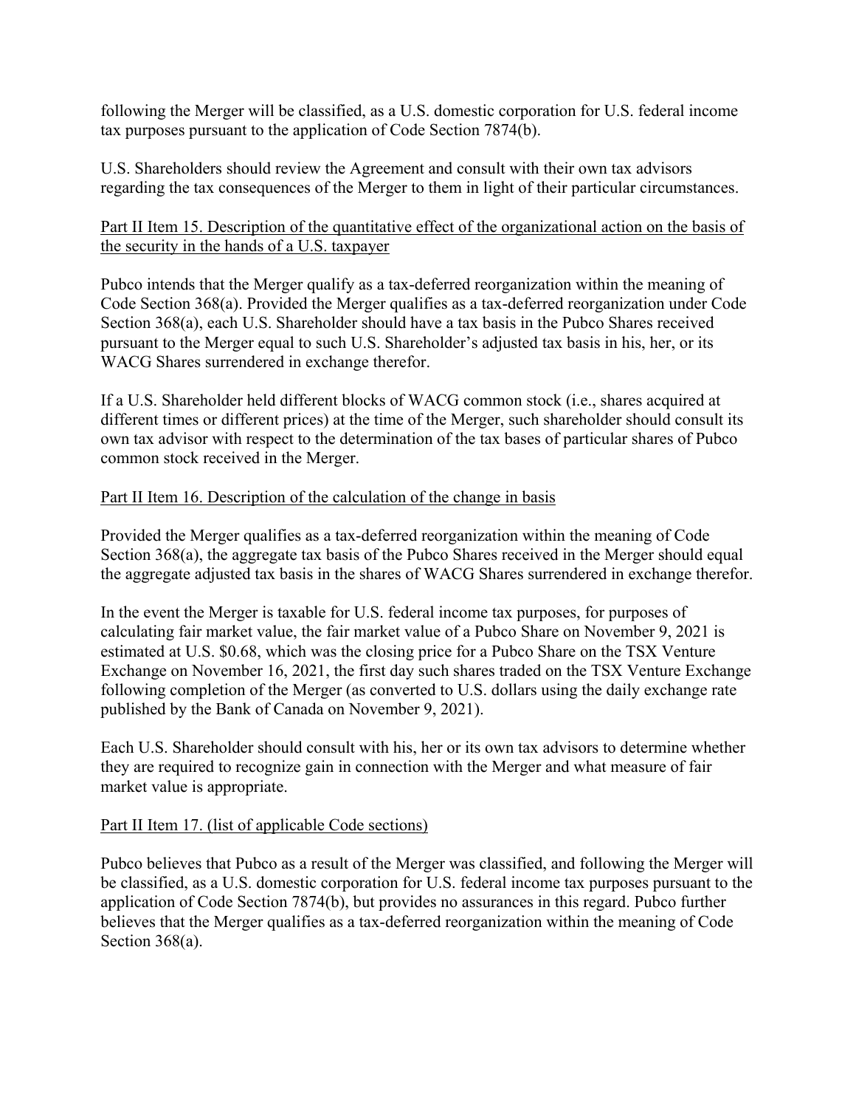following the Merger will be classified, as a U.S. domestic corporation for U.S. federal income tax purposes pursuant to the application of Code Section 7874(b).

U.S. Shareholders should review the Agreement and consult with their own tax advisors regarding the tax consequences of the Merger to them in light of their particular circumstances.

## Part II Item 15. Description of the quantitative effect of the organizational action on the basis of the security in the hands of a U.S. taxpayer

Pubco intends that the Merger qualify as a tax-deferred reorganization within the meaning of Code Section 368(a). Provided the Merger qualifies as a tax-deferred reorganization under Code Section 368(a), each U.S. Shareholder should have a tax basis in the Pubco Shares received pursuant to the Merger equal to such U.S. Shareholder's adjusted tax basis in his, her, or its WACG Shares surrendered in exchange therefor.

If a U.S. Shareholder held different blocks of WACG common stock (i.e., shares acquired at different times or different prices) at the time of the Merger, such shareholder should consult its own tax advisor with respect to the determination of the tax bases of particular shares of Pubco common stock received in the Merger.

## Part II Item 16. Description of the calculation of the change in basis

Provided the Merger qualifies as a tax-deferred reorganization within the meaning of Code Section 368(a), the aggregate tax basis of the Pubco Shares received in the Merger should equal the aggregate adjusted tax basis in the shares of WACG Shares surrendered in exchange therefor.

In the event the Merger is taxable for U.S. federal income tax purposes, for purposes of calculating fair market value, the fair market value of a Pubco Share on November 9, 2021 is estimated at U.S. \$0.68, which was the closing price for a Pubco Share on the TSX Venture Exchange on November 16, 2021, the first day such shares traded on the TSX Venture Exchange following completion of the Merger (as converted to U.S. dollars using the daily exchange rate published by the Bank of Canada on November 9, 2021).

Each U.S. Shareholder should consult with his, her or its own tax advisors to determine whether they are required to recognize gain in connection with the Merger and what measure of fair market value is appropriate.

# Part II Item 17. (list of applicable Code sections)

Pubco believes that Pubco as a result of the Merger was classified, and following the Merger will be classified, as a U.S. domestic corporation for U.S. federal income tax purposes pursuant to the application of Code Section 7874(b), but provides no assurances in this regard. Pubco further believes that the Merger qualifies as a tax-deferred reorganization within the meaning of Code Section 368(a).